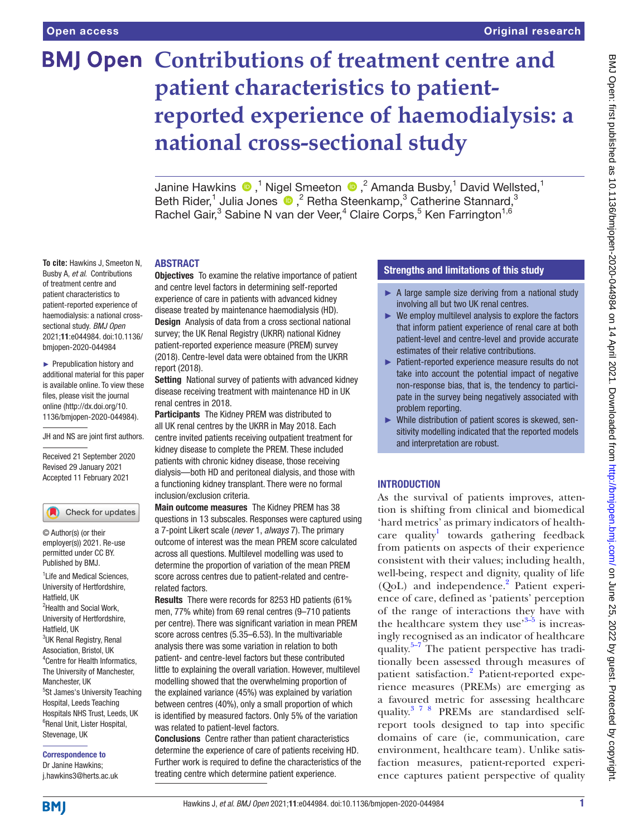# **BMJ Open Contributions of treatment centre and patient characteristics to patientreported experience of haemodialysis: a national cross-sectional study**

JanineHawkins  $\bigcirc$  ,<sup>1</sup> Nigel Smeeton  $\bigcirc$  ,<sup>2</sup> Amanda Busby,<sup>1</sup> David Wellsted,<sup>1</sup> BethRider,<sup>1</sup> Julia Jones  $\bigcirc$ ,<sup>2</sup> Retha Steenkamp,<sup>3</sup> Catherine Stannard,<sup>3</sup> Rachel Gair,<sup>3</sup> Sabine N van der Veer,<sup>4</sup> Claire Corps,<sup>5</sup> Ken Farrington<sup>1,6</sup>

#### ABSTRACT

**To cite:** Hawkins J, Smeeton N, Busby A, *et al*. Contributions of treatment centre and patient characteristics to patient-reported experience of haemodialysis: a national crosssectional study. *BMJ Open* 2021;11:e044984. doi:10.1136/ bmjopen-2020-044984

► Prepublication history and additional material for this paper is available online. To view these files, please visit the journal online (http://dx.doi.org/10. 1136/bmjopen-2020-044984).

JH and NS are joint first authors.

Received 21 September 2020 Revised 29 January 2021 Accepted 11 February 2021

Check for updates

© Author(s) (or their employer(s)) 2021. Re-use permitted under CC BY. Published by BMJ.

<sup>1</sup> Life and Medical Sciences, University of Hertfordshire, Hatfield, UK <sup>2</sup>Health and Social Work, University of Hertfordshire, Hatfield, UK <sup>3</sup>UK Renal Registry, Renal Association, Bristol, UK 4 Centre for Health Informatics, The University of Manchester, Manchester, UK 5 St James's University Teaching Hospital, Leeds Teaching Hospitals NHS Trust, Leeds, UK 6 Renal Unit, Lister Hospital, Stevenage, UK

Correspondence to Dr Janine Hawkins; j.hawkins3@herts.ac.uk **Objectives** To examine the relative importance of patient and centre level factors in determining self-reported experience of care in patients with advanced kidney disease treated by maintenance haemodialysis (HD). Design Analysis of data from a cross sectional national survey; the UK Renal Registry (UKRR) national Kidney patient-reported experience measure (PREM) survey (2018). Centre-level data were obtained from the UKRR report (2018).

Setting National survey of patients with advanced kidney disease receiving treatment with maintenance HD in UK renal centres in 2018.

Participants The Kidney PREM was distributed to all UK renal centres by the UKRR in May 2018. Each centre invited patients receiving outpatient treatment for kidney disease to complete the PREM. These included patients with chronic kidney disease, those receiving dialysis—both HD and peritoneal dialysis, and those with a functioning kidney transplant. There were no formal inclusion/exclusion criteria.

Main outcome measures The Kidney PREM has 38 questions in 13 subscales. Responses were captured using a 7-point Likert scale (*never* 1, *always* 7). The primary outcome of interest was the mean PREM score calculated across all questions. Multilevel modelling was used to determine the proportion of variation of the mean PREM score across centres due to patient-related and centrerelated factors.

Results There were records for 8253 HD patients (61% men, 77% white) from 69 renal centres (9–710 patients per centre). There was significant variation in mean PREM score across centres (5.35–6.53). In the multivariable analysis there was some variation in relation to both patient- and centre-level factors but these contributed little to explaining the overall variation. However, multilevel modelling showed that the overwhelming proportion of the explained variance (45%) was explained by variation between centres (40%), only a small proportion of which is identified by measured factors. Only 5% of the variation was related to patient-level factors.

Conclusions Centre rather than patient characteristics determine the experience of care of patients receiving HD. Further work is required to define the characteristics of the treating centre which determine patient experience.

# Strengths and limitations of this study

- ► A large sample size deriving from a national study involving all but two UK renal centres.
- ► We employ multilevel analysis to explore the factors that inform patient experience of renal care at both patient-level and centre-level and provide accurate estimates of their relative contributions.
- ► Patient-reported experience measure results do not take into account the potential impact of negative non-response bias, that is, the tendency to participate in the survey being negatively associated with problem reporting.
- ► While distribution of patient scores is skewed, sensitivity modelling indicated that the reported models and interpretation are robust.

# INTRODUCTION

As the survival of patients improves, attention is shifting from clinical and biomedical 'hard metrics' as primary indicators of health-care quality<sup>[1](#page-8-0)</sup> towards gathering feedback from patients on aspects of their experience consistent with their values; including health, well-being, respect and dignity, quality of life (QoL) and independence.<sup>[2](#page-8-1)</sup> Patient experience of care, defined as 'patients' perception of the range of interactions they have with the healthcare system they use<sup>3–5</sup> is increasingly recognised as an indicator of healthcare quality.<sup>5–7</sup> The patient perspective has traditionally been assessed through measures of patient satisfaction.<sup>2</sup> Patient-reported experience measures (PREMs) are emerging as a favoured metric for assessing healthcare quality.[3 7 8](#page-8-2) PREMs are standardised selfreport tools designed to tap into specific domains of care (ie, communication, care environment, healthcare team). Unlike satisfaction measures, patient-reported experience captures patient perspective of quality

**BMI**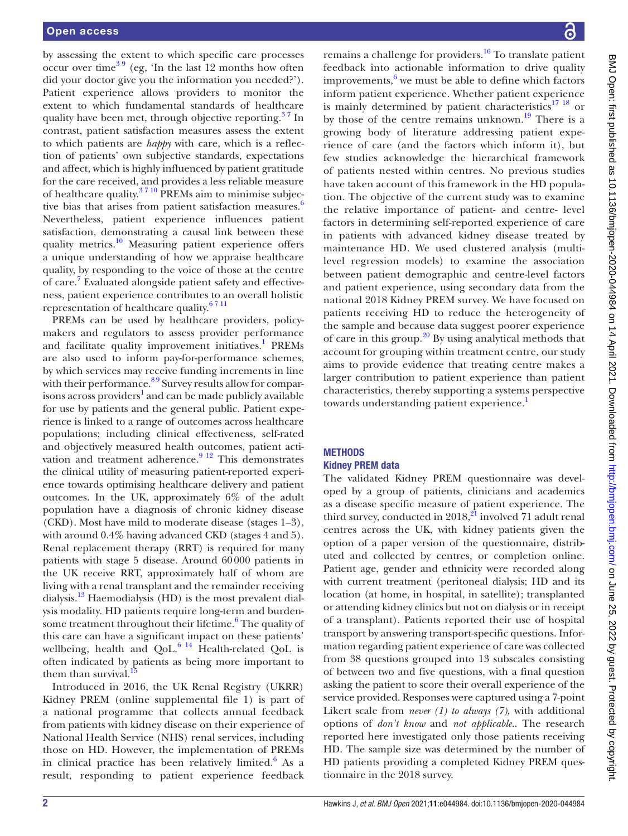by assessing the extent to which specific care processes occur over time<sup>39</sup> (eg, 'In the last 12 months how often did your doctor give you the information you needed?'). Patient experience allows providers to monitor the extent to which fundamental standards of healthcare quality have been met, through objective reporting.<sup>37</sup> In contrast, patient satisfaction measures assess the extent to which patients are *happy* with care, which is a reflection of patients' own subjective standards, expectations and affect, which is highly influenced by patient gratitude for the care received, and provides a less reliable measure of healthcare quality. $3710$  PREMs aim to minimise subjective bias that arises from patient satisfaction measures. $6$ Nevertheless, patient experience influences patient satisfaction, demonstrating a causal link between these quality metrics.<sup>10</sup> Measuring patient experience offers a unique understanding of how we appraise healthcare quality, by responding to the voice of those at the centre of care.<sup>7</sup> Evaluated alongside patient safety and effectiveness, patient experience contributes to an overall holistic representation of healthcare quality.<sup>6711</sup>

PREMs can be used by healthcare providers, policymakers and regulators to assess provider performance and facilitate quality improvement initiatives.<sup>1</sup> PREMs are also used to inform pay-for-performance schemes, by which services may receive funding increments in line with their performance.<sup>89</sup> Survey results allow for comparisons across providers<sup>1</sup> and can be made publicly available for use by patients and the general public. Patient experience is linked to a range of outcomes across healthcare populations; including clinical effectiveness, self-rated and objectively measured health outcomes, patient activation and treatment adherence. $9<sup>12</sup>$  This demonstrates the clinical utility of measuring patient-reported experience towards optimising healthcare delivery and patient outcomes. In the UK, approximately 6% of the adult population have a diagnosis of chronic kidney disease (CKD). Most have mild to moderate disease (stages 1–3), with around 0.4% having advanced CKD (stages 4 and 5). Renal replacement therapy (RRT) is required for many patients with stage 5 disease. Around 60000 patients in the UK receive RRT, approximately half of whom are living with a renal transplant and the remainder receiving dialysis.<sup>[13](#page-8-9)</sup> Haemodialysis (HD) is the most prevalent dialysis modality. HD patients require long-term and burden-some treatment throughout their lifetime.<sup>[6](#page-8-4)</sup> The quality of this care can have a significant impact on these patients' wellbeing, health and  $\text{OoL.}^6$  14 Health-related OoL is often indicated by patients as being more important to them than survival.

Introduced in 2016, the UK Renal Registry (UKRR) Kidney PREM [\(online supplemental file 1](https://dx.doi.org/10.1136/bmjopen-2020-044984)) is part of a national programme that collects annual feedback from patients with kidney disease on their experience of National Health Service (NHS) renal services, including those on HD. However, the implementation of PREMs in clinical practice has been relatively limited.<sup>[6](#page-8-4)</sup> As a result, responding to patient experience feedback

remains a challenge for providers. $16$  To translate patient feedback into actionable information to drive quality improvements, $6$  we must be able to define which factors inform patient experience. Whether patient experience is mainly determined by patient characteristics<sup>17</sup> <sup>18</sup> or by those of the centre remains unknown.<sup>[19](#page-8-13)</sup> There is a growing body of literature addressing patient experience of care (and the factors which inform it), but few studies acknowledge the hierarchical framework of patients nested within centres. No previous studies have taken account of this framework in the HD population. The objective of the current study was to examine the relative importance of patient- and centre- level factors in determining self-reported experience of care in patients with advanced kidney disease treated by maintenance HD. We used clustered analysis (multilevel regression models) to examine the association between patient demographic and centre-level factors and patient experience, using secondary data from the national 2018 Kidney PREM survey. We have focused on patients receiving HD to reduce the heterogeneity of the sample and because data suggest poorer experience of care in this group.<sup>20</sup> By using analytical methods that account for grouping within treatment centre, our study aims to provide evidence that treating centre makes a larger contribution to patient experience than patient characteristics, thereby supporting a systems perspective towards understanding patient experience.<sup>[1](#page-8-0)</sup>

# **METHODS** Kidney PREM data

The validated Kidney PREM questionnaire was developed by a group of patients, clinicians and academics as a disease specific measure of patient experience. The third survey, conducted in  $2018$ ,<sup>21</sup> involved 71 adult renal centres across the UK, with kidney patients given the option of a paper version of the questionnaire, distributed and collected by centres, or completion online. Patient age, gender and ethnicity were recorded along with current treatment (peritoneal dialysis; HD and its location (at home, in hospital, in satellite); transplanted or attending kidney clinics but not on dialysis or in receipt of a transplant). Patients reported their use of hospital transport by answering transport-specific questions. Information regarding patient experience of care was collected from 38 questions grouped into 13 subscales consisting of between two and five questions, with a final question asking the patient to score their overall experience of the service provided. Responses were captured using a 7-point Likert scale from *never (1) to always (7),* with additional options of *don't know* and *not applicable.*. The research reported here investigated only those patients receiving HD. The sample size was determined by the number of HD patients providing a completed Kidney PREM questionnaire in the 2018 survey.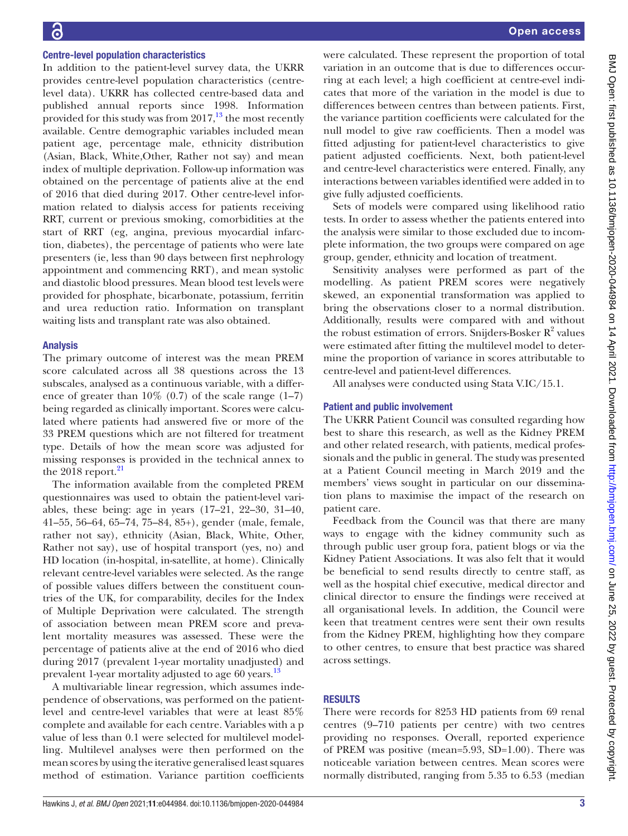#### Centre-level population characteristics

In addition to the patient-level survey data, the UKRR provides centre-level population characteristics (centrelevel data). UKRR has collected centre-based data and published annual reports since 1998. Information provided for this study was from  $2017<sup>13</sup>$ , the most recently available. Centre demographic variables included mean patient age, percentage male, ethnicity distribution (Asian, Black, White,Other, Rather not say) and mean index of multiple deprivation. Follow-up information was obtained on the percentage of patients alive at the end of 2016 that died during 2017. Other centre-level information related to dialysis access for patients receiving RRT, current or previous smoking, comorbidities at the start of RRT (eg, angina, previous myocardial infarction, diabetes), the percentage of patients who were late presenters (ie, less than 90 days between first nephrology appointment and commencing RRT), and mean systolic and diastolic blood pressures. Mean blood test levels were provided for phosphate, bicarbonate, potassium, ferritin and urea reduction ratio. Information on transplant waiting lists and transplant rate was also obtained.

#### Analysis

The primary outcome of interest was the mean PREM score calculated across all 38 questions across the 13 subscales, analysed as a continuous variable, with a difference of greater than  $10\%$  (0.7) of the scale range (1–7) being regarded as clinically important. Scores were calculated where patients had answered five or more of the 33 PREM questions which are not filtered for treatment type. Details of how the mean score was adjusted for missing responses is provided in the technical annex to the  $2018$  report. $21$ 

The information available from the completed PREM questionnaires was used to obtain the patient-level variables, these being: age in years (17–21, 22–30, 31–40, 41–55, 56–64, 65–74, 75–84, 85+), gender (male, female, rather not say), ethnicity (Asian, Black, White, Other, Rather not say), use of hospital transport (yes, no) and HD location (in-hospital, in-satellite, at home). Clinically relevant centre-level variables were selected. As the range of possible values differs between the constituent countries of the UK, for comparability, deciles for the Index of Multiple Deprivation were calculated. The strength of association between mean PREM score and prevalent mortality measures was assessed. These were the percentage of patients alive at the end of 2016 who died during 2017 (prevalent 1-year mortality unadjusted) and prevalent 1-year mortality adjusted to age 60 years.<sup>13</sup>

A multivariable linear regression, which assumes independence of observations, was performed on the patientlevel and centre-level variables that were at least 85% complete and available for each centre. Variables with a p value of less than 0.1 were selected for multilevel modelling. Multilevel analyses were then performed on the mean scores by using the iterative generalised least squares method of estimation. Variance partition coefficients

were calculated. These represent the proportion of total variation in an outcome that is due to differences occurring at each level; a high coefficient at centre-evel indicates that more of the variation in the model is due to differences between centres than between patients. First, the variance partition coefficients were calculated for the null model to give raw coefficients. Then a model was fitted adjusting for patient-level characteristics to give patient adjusted coefficients. Next, both patient-level and centre-level characteristics were entered. Finally, any interactions between variables identified were added in to give fully adjusted coefficients.

Sets of models were compared using likelihood ratio tests. In order to assess whether the patients entered into the analysis were similar to those excluded due to incomplete information, the two groups were compared on age group, gender, ethnicity and location of treatment.

Sensitivity analyses were performed as part of the modelling. As patient PREM scores were negatively skewed, an exponential transformation was applied to bring the observations closer to a normal distribution. Additionally, results were compared with and without the robust estimation of errors. Snijders-Bosker  $R^2$  values were estimated after fitting the multilevel model to determine the proportion of variance in scores attributable to centre-level and patient-level differences.

All analyses were conducted using Stata V.IC/15.1.

#### Patient and public involvement

The UKRR Patient Council was consulted regarding how best to share this research, as well as the Kidney PREM and other related research, with patients, medical professionals and the public in general. The study was presented at a Patient Council meeting in March 2019 and the members' views sought in particular on our dissemination plans to maximise the impact of the research on patient care.

Feedback from the Council was that there are many ways to engage with the kidney community such as through public user group fora, patient blogs or via the Kidney Patient Associations. It was also felt that it would be beneficial to send results directly to centre staff, as well as the hospital chief executive, medical director and clinical director to ensure the findings were received at all organisational levels. In addition, the Council were keen that treatment centres were sent their own results from the Kidney PREM, highlighting how they compare to other centres, to ensure that best practice was shared across settings.

# RESULTS

There were records for 8253 HD patients from 69 renal centres (9–710 patients per centre) with two centres providing no responses. Overall, reported experience of PREM was positive (mean=5.93, SD=1.00). There was noticeable variation between centres. Mean scores were normally distributed, ranging from 5.35 to 6.53 (median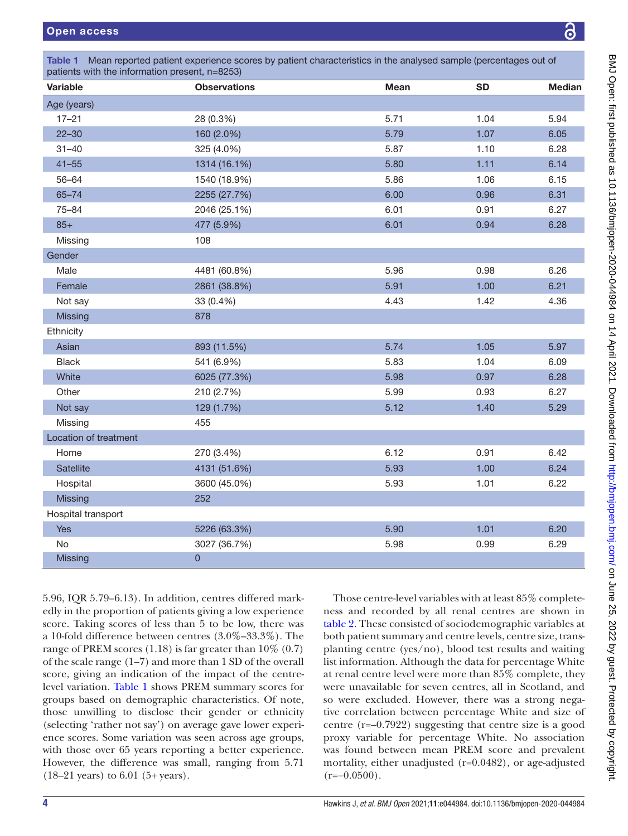<span id="page-3-0"></span>

| <b>Variable</b>       | <b>Observations</b> | <b>Mean</b> | <b>SD</b> | <b>Median</b> |  |
|-----------------------|---------------------|-------------|-----------|---------------|--|
| Age (years)           |                     |             |           |               |  |
| $17 - 21$             | 28 (0.3%)           | 5.71        | 1.04      | 5.94          |  |
| $22 - 30$             | 160 (2.0%)          | 5.79        | 1.07      | 6.05          |  |
| $31 - 40$             | 325 (4.0%)          | 5.87        | 1.10      | 6.28          |  |
| $41 - 55$             | 1314 (16.1%)        | 5.80        | 1.11      | 6.14          |  |
| $56 - 64$             | 1540 (18.9%)        | 5.86        | 1.06      | 6.15          |  |
| $65 - 74$             | 2255 (27.7%)        | 6.00        | 0.96      | 6.31          |  |
| $75 - 84$             | 2046 (25.1%)        | 6.01        | 0.91      | 6.27          |  |
| $85+$                 | 477 (5.9%)          | 6.01        | 0.94      | 6.28          |  |
| Missing               | 108                 |             |           |               |  |
| Gender                |                     |             |           |               |  |
| Male                  | 4481 (60.8%)        | 5.96        | 0.98      | 6.26          |  |
| Female                | 2861 (38.8%)        | 5.91        | 1.00      | 6.21          |  |
| Not say               | 33 (0.4%)           | 4.43        | 1.42      | 4.36          |  |
| <b>Missing</b>        | 878                 |             |           |               |  |
| Ethnicity             |                     |             |           |               |  |
| Asian                 | 893 (11.5%)         | 5.74        | 1.05      | 5.97          |  |
| <b>Black</b>          | 541 (6.9%)          | 5.83        | 1.04      | 6.09          |  |
| White                 | 6025 (77.3%)        | 5.98        | 0.97      | 6.28          |  |
| Other                 | 210 (2.7%)          | 5.99        | 0.93      | 6.27          |  |
| Not say               | 129 (1.7%)          | 5.12        | 1.40      | 5.29          |  |
| Missing               | 455                 |             |           |               |  |
| Location of treatment |                     |             |           |               |  |
| Home                  | 270 (3.4%)          | 6.12        | 0.91      | 6.42          |  |
| Satellite             | 4131 (51.6%)        | 5.93        | 1.00      | 6.24          |  |
| Hospital              | 3600 (45.0%)        | 5.93        | 1.01      | 6.22          |  |
| Missing               | 252                 |             |           |               |  |
| Hospital transport    |                     |             |           |               |  |
| <b>Yes</b>            | 5226 (63.3%)        | 5.90        | 1.01      | 6.20          |  |
| <b>No</b>             | 3027 (36.7%)        | 5.98        | 0.99      | 6.29          |  |
| <b>Missing</b>        | $\overline{0}$      |             |           |               |  |

5.96, IQR 5.79–6.13). In addition, centres differed markedly in the proportion of patients giving a low experience score. Taking scores of less than 5 to be low, there was a 10-fold difference between centres (3.0%–33.3%). The range of PREM scores  $(1.18)$  is far greater than  $10\%$   $(0.7)$ of the scale range (1–7) and more than 1 SD of the overall score, giving an indication of the impact of the centrelevel variation. [Table](#page-3-0) 1 shows PREM summary scores for groups based on demographic characteristics. Of note, those unwilling to disclose their gender or ethnicity (selecting 'rather not say') on average gave lower experience scores. Some variation was seen across age groups, with those over 65 years reporting a better experience. However, the difference was small, ranging from 5.71 (18–21 years) to 6.01 (5+ years).

Those centre-level variables with at least 85% completeness and recorded by all renal centres are shown in [table](#page-4-0) 2. These consisted of sociodemographic variables at both patient summary and centre levels, centre size, transplanting centre (yes/no), blood test results and waiting list information. Although the data for percentage White at renal centre level were more than 85% complete, they were unavailable for seven centres, all in Scotland, and so were excluded. However, there was a strong negative correlation between percentage White and size of centre (r=–0.7922) suggesting that centre size is a good proxy variable for percentage White. No association was found between mean PREM score and prevalent mortality, either unadjusted (r=0.0482), or age-adjusted  $(r=-0.0500)$ .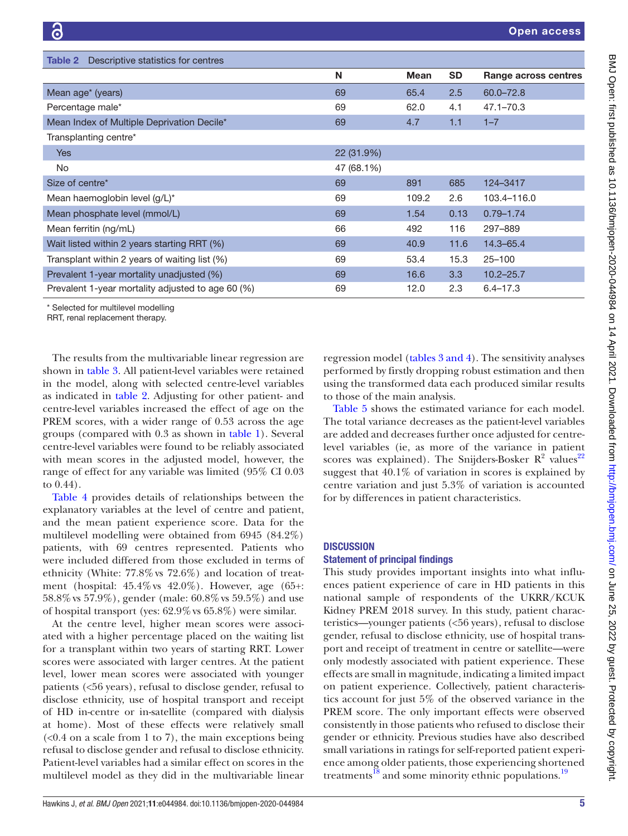<span id="page-4-0"></span>

| <b>Table 2</b> Descriptive statistics for centres |            |             |           |                      |
|---------------------------------------------------|------------|-------------|-----------|----------------------|
|                                                   | N          | <b>Mean</b> | <b>SD</b> | Range across centres |
| Mean age <sup>*</sup> (years)                     | 69         | 65.4        | 2.5       | $60.0 - 72.8$        |
| Percentage male*                                  | 69         | 62.0        | 4.1       | $47.1 - 70.3$        |
| Mean Index of Multiple Deprivation Decile*        | 69         | 4.7         | 1.1       | $1 - 7$              |
| Transplanting centre*                             |            |             |           |                      |
| <b>Yes</b>                                        | 22 (31.9%) |             |           |                      |
| <b>No</b>                                         | 47 (68.1%) |             |           |                      |
| Size of centre*                                   | 69         | 891         | 685       | 124-3417             |
| Mean haemoglobin level (g/L)*                     | 69         | 109.2       | 2.6       | 103.4-116.0          |
| Mean phosphate level (mmol/L)                     | 69         | 1.54        | 0.13      | $0.79 - 1.74$        |
| Mean ferritin (ng/mL)                             | 66         | 492         | 116       | 297-889              |
| Wait listed within 2 years starting RRT (%)       | 69         | 40.9        | 11.6      | $14.3 - 65.4$        |
| Transplant within 2 years of waiting list (%)     | 69         | 53.4        | 15.3      | $25 - 100$           |
| Prevalent 1-year mortality unadjusted (%)         | 69         | 16.6        | 3.3       | $10.2 - 25.7$        |
| Prevalent 1-year mortality adjusted to age 60 (%) | 69         | 12.0        | 2.3       | $6.4 - 17.3$         |
| * Selected for multilevel modelling               |            |             |           |                      |

RRT, renal replacement therapy.

The results from the multivariable linear regression are shown in [table](#page-5-0) 3. All patient-level variables were retained in the model, along with selected centre-level variables as indicated in [table](#page-4-0) 2. Adjusting for other patient- and centre-level variables increased the effect of age on the PREM scores, with a wider range of 0.53 across the age groups (compared with 0.3 as shown in [table](#page-3-0) 1). Several centre-level variables were found to be reliably associated with mean scores in the adjusted model, however, the range of effect for any variable was limited (95% CI 0.03 to 0.44).

[Table](#page-6-0) 4 provides details of relationships between the explanatory variables at the level of centre and patient, and the mean patient experience score. Data for the multilevel modelling were obtained from 6945 (84.2%) patients, with 69 centres represented. Patients who were included differed from those excluded in terms of ethnicity (White: 77.8%vs 72.6%) and location of treatment (hospital: 45.4%vs 42.0%). However, age (65+: 58.8%vs 57.9%), gender (male: 60.8%vs 59.5%) and use of hospital transport (yes: 62.9%vs 65.8%) were similar.

At the centre level, higher mean scores were associated with a higher percentage placed on the waiting list for a transplant within two years of starting RRT. Lower scores were associated with larger centres. At the patient level, lower mean scores were associated with younger patients (<56 years), refusal to disclose gender, refusal to disclose ethnicity, use of hospital transport and receipt of HD in-centre or in-satellite (compared with dialysis at home). Most of these effects were relatively small  $\left($  <0.4 on a scale from 1 to 7), the main exceptions being refusal to disclose gender and refusal to disclose ethnicity. Patient-level variables had a similar effect on scores in the multilevel model as they did in the multivariable linear

regression model (tables [3 and 4](#page-5-0)). The sensitivity analyses performed by firstly dropping robust estimation and then using the transformed data each produced similar results to those of the main analysis.

[Table](#page-6-1) 5 shows the estimated variance for each model. The total variance decreases as the patient-level variables are added and decreases further once adjusted for centrelevel variables (ie, as more of the variance in patient scores was explained). The Snijders-Bosker  $R^2$  values<sup>[22](#page-8-16)</sup> suggest that 40.1% of variation in scores is explained by centre variation and just 5.3% of variation is accounted for by differences in patient characteristics.

## **DISCUSSION**

## Statement of principal findings

This study provides important insights into what influences patient experience of care in HD patients in this national sample of respondents of the UKRR/KCUK Kidney PREM 2018 survey. In this study, patient characteristics—younger patients (<56 years), refusal to disclose gender, refusal to disclose ethnicity, use of hospital transport and receipt of treatment in centre or satellite—were only modestly associated with patient experience. These effects are small in magnitude, indicating a limited impact on patient experience. Collectively, patient characteristics account for just 5% of the observed variance in the PREM score. The only important effects were observed consistently in those patients who refused to disclose their gender or ethnicity. Previous studies have also described small variations in ratings for self-reported patient experience among older patients, those experiencing shortened treatments<sup>[18](#page-8-17)</sup> and some minority ethnic populations.<sup>[19](#page-8-13)</sup>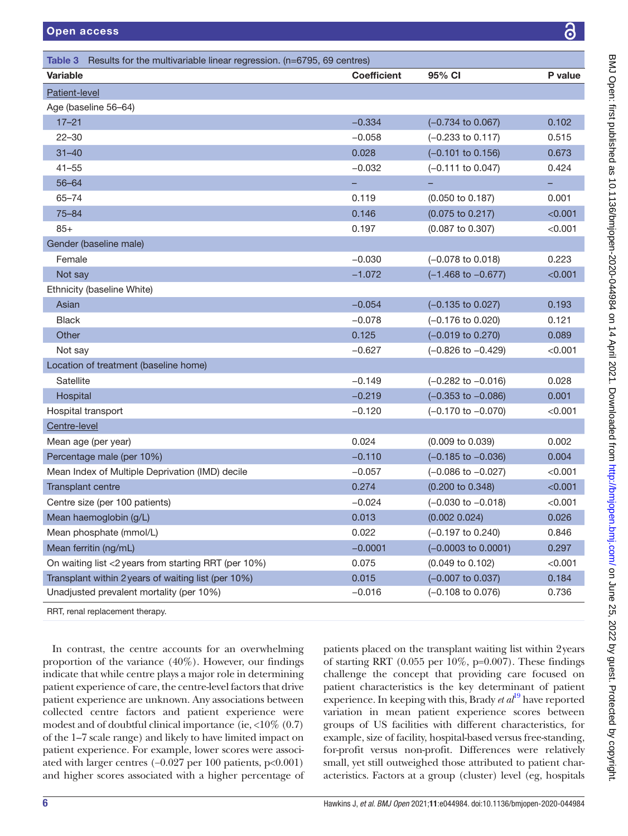<span id="page-5-0"></span>

| Variable<br>Patient-level                            | <b>Coefficient</b> | 95% CI                        | P value |
|------------------------------------------------------|--------------------|-------------------------------|---------|
|                                                      |                    |                               |         |
| Age (baseline 56-64)                                 |                    |                               |         |
| $17 - 21$                                            | $-0.334$           | $(-0.734 \text{ to } 0.067)$  | 0.102   |
| $22 - 30$                                            | $-0.058$           | $(-0.233$ to $0.117)$         | 0.515   |
| $31 - 40$                                            | 0.028              | $(-0.101$ to $0.156)$         | 0.673   |
| $41 - 55$                                            | $-0.032$           | $(-0.111$ to $0.047)$         | 0.424   |
| $56 - 64$                                            | -                  |                               | н,      |
| $65 - 74$                                            | 0.119              | $(0.050 \text{ to } 0.187)$   | 0.001   |
| $75 - 84$                                            | 0.146              | (0.075 to 0.217)              | < 0.001 |
| $85+$                                                | 0.197              | (0.087 to 0.307)              | < 0.001 |
| Gender (baseline male)                               |                    |                               |         |
| Female                                               | $-0.030$           | $(-0.078 \text{ to } 0.018)$  | 0.223   |
| Not say                                              | $-1.072$           | $(-1.468 \text{ to } -0.677)$ | < 0.001 |
| Ethnicity (baseline White)                           |                    |                               |         |
| Asian                                                | $-0.054$           | $(-0.135$ to $0.027)$         | 0.193   |
| <b>Black</b>                                         | $-0.078$           | $(-0.176 \text{ to } 0.020)$  | 0.121   |
| Other                                                | 0.125              | $(-0.019 \text{ to } 0.270)$  | 0.089   |
| Not say                                              | $-0.627$           | $(-0.826 \text{ to } -0.429)$ | < 0.001 |
| Location of treatment (baseline home)                |                    |                               |         |
| Satellite                                            | $-0.149$           | $(-0.282 \text{ to } -0.016)$ | 0.028   |
| Hospital                                             | $-0.219$           | $(-0.353$ to $-0.086)$        | 0.001   |
| Hospital transport                                   | $-0.120$           | $(-0.170 \text{ to } -0.070)$ | < 0.001 |
| Centre-level                                         |                    |                               |         |
| Mean age (per year)                                  | 0.024              | $(0.009 \text{ to } 0.039)$   | 0.002   |
| Percentage male (per 10%)                            | $-0.110$           | $(-0.185 \text{ to } -0.036)$ | 0.004   |
| Mean Index of Multiple Deprivation (IMD) decile      | $-0.057$           | $(-0.086 \text{ to } -0.027)$ | < 0.001 |
| Transplant centre                                    | 0.274              | (0.200 to 0.348)              | < 0.001 |
| Centre size (per 100 patients)                       | $-0.024$           | $(-0.030 \text{ to } -0.018)$ | < 0.001 |
| Mean haemoglobin (g/L)                               | 0.013              | (0.002 0.024)                 | 0.026   |
| Mean phosphate (mmol/L)                              | 0.022              | $(-0.197 \text{ to } 0.240)$  | 0.846   |
| Mean ferritin (ng/mL)                                | $-0.0001$          | $(-0.0003$ to $0.0001)$       | 0.297   |
| On waiting list <2 years from starting RRT (per 10%) | 0.075              | (0.049 to 0.102)              | < 0.001 |
| Transplant within 2 years of waiting list (per 10%)  | 0.015              | $(-0.007 \text{ to } 0.037)$  | 0.184   |
| Unadjusted prevalent mortality (per 10%)             | $-0.016$           | $(-0.108 \text{ to } 0.076)$  | 0.736   |
| RRT, renal replacement therapy.                      |                    |                               |         |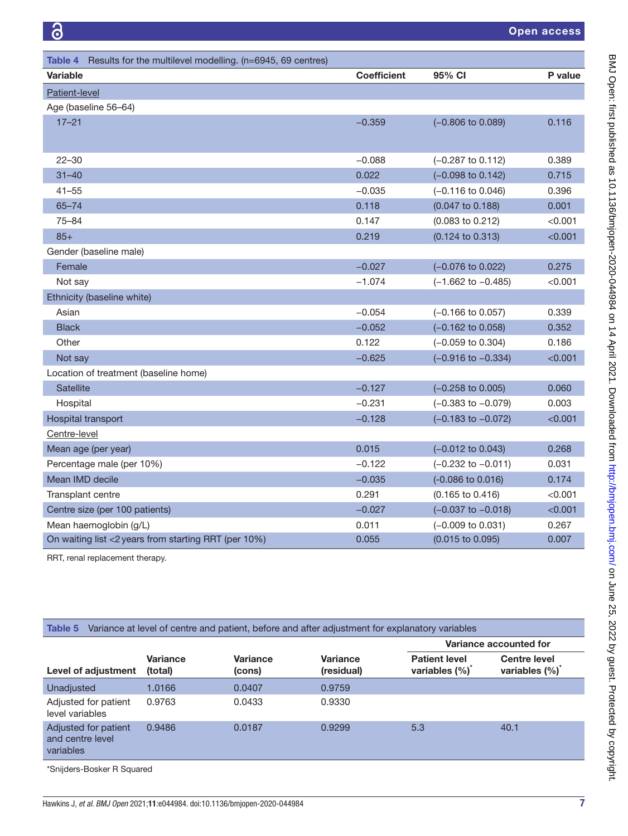<span id="page-6-0"></span>

| Results for the multilevel modelling. (n=6945, 69 centres)<br>Table 4 |                    |                               |           |
|-----------------------------------------------------------------------|--------------------|-------------------------------|-----------|
| <b>Variable</b>                                                       | <b>Coefficient</b> | 95% CI                        | P value   |
| Patient-level                                                         |                    |                               |           |
| Age (baseline 56-64)                                                  |                    |                               |           |
| $17 - 21$                                                             | $-0.359$           | $(-0.806 \text{ to } 0.089)$  | 0.116     |
|                                                                       |                    |                               |           |
| $22 - 30$                                                             | $-0.088$           | $(-0.287 \text{ to } 0.112)$  | 0.389     |
| $31 - 40$                                                             | 0.022              | $(-0.098 \text{ to } 0.142)$  | 0.715     |
| $41 - 55$                                                             | $-0.035$           | $(-0.116 \text{ to } 0.046)$  | 0.396     |
| $65 - 74$                                                             | 0.118              | $(0.047 \text{ to } 0.188)$   | 0.001     |
| $75 - 84$                                                             | 0.147              | $(0.083 \text{ to } 0.212)$   | < 0.001   |
| $85+$                                                                 | 0.219              | (0.124 to 0.313)              | < 0.001   |
| Gender (baseline male)                                                |                    |                               |           |
| Female                                                                | $-0.027$           | $(-0.076 \text{ to } 0.022)$  | 0.275     |
| Not say                                                               | $-1.074$           | $(-1.662 \text{ to } -0.485)$ | $<$ 0.001 |
| Ethnicity (baseline white)                                            |                    |                               |           |
| Asian                                                                 | $-0.054$           | $(-0.166 \text{ to } 0.057)$  | 0.339     |
| <b>Black</b>                                                          | $-0.052$           | $(-0.162 \text{ to } 0.058)$  | 0.352     |
| Other                                                                 | 0.122              | $(-0.059 \text{ to } 0.304)$  | 0.186     |
| Not say                                                               | $-0.625$           | $(-0.916 \text{ to } -0.334)$ | < 0.001   |
| Location of treatment (baseline home)                                 |                    |                               |           |
| <b>Satellite</b>                                                      | $-0.127$           | $(-0.258 \text{ to } 0.005)$  | 0.060     |
| Hospital                                                              | $-0.231$           | $(-0.383$ to $-0.079)$        | 0.003     |
| Hospital transport                                                    | $-0.128$           | $(-0.183$ to $-0.072)$        | < 0.001   |
| Centre-level                                                          |                    |                               |           |
| Mean age (per year)                                                   | 0.015              | $(-0.012 \text{ to } 0.043)$  | 0.268     |
| Percentage male (per 10%)                                             | $-0.122$           | $(-0.232 \text{ to } -0.011)$ | 0.031     |
| Mean IMD decile                                                       | $-0.035$           | (-0.086 to 0.016)             | 0.174     |
| Transplant centre                                                     | 0.291              | $(0.165 \text{ to } 0.416)$   | < 0.001   |
| Centre size (per 100 patients)                                        | $-0.027$           | $(-0.037 \text{ to } -0.018)$ | < 0.001   |
| Mean haemoglobin (g/L)                                                | 0.011              | $(-0.009 \text{ to } 0.031)$  | 0.267     |
| On waiting list <2 years from starting RRT (per 10%)                  | 0.055              | (0.015 to 0.095)              | 0.007     |
| RRT renal renlacement therany                                         |                    |                               |           |

RRT, renal replacement therapy.

<span id="page-6-1"></span>

|  | <b>Table 5</b> Variance at level of centre and patient, before and after adjustment for explanatory variables |  |  |
|--|---------------------------------------------------------------------------------------------------------------|--|--|
|--|---------------------------------------------------------------------------------------------------------------|--|--|

|                                                       |                            |                           |                               | Variance accounted for                             |                                                   |
|-------------------------------------------------------|----------------------------|---------------------------|-------------------------------|----------------------------------------------------|---------------------------------------------------|
| Level of adjustment                                   | <b>Variance</b><br>(total) | <b>Variance</b><br>(cons) | <b>Variance</b><br>(residual) | <b>Patient level</b><br>variables (%) <sup>*</sup> | <b>Centre level</b><br>variables (%) <sup>*</sup> |
| Unadjusted                                            | 1.0166                     | 0.0407                    | 0.9759                        |                                                    |                                                   |
| Adjusted for patient<br>level variables               | 0.9763                     | 0.0433                    | 0.9330                        |                                                    |                                                   |
| Adjusted for patient<br>and centre level<br>variables | 0.9486                     | 0.0187                    | 0.9299                        | 5.3                                                | 40.1                                              |
| *Snijders-Bosker R Squared                            |                            |                           |                               |                                                    |                                                   |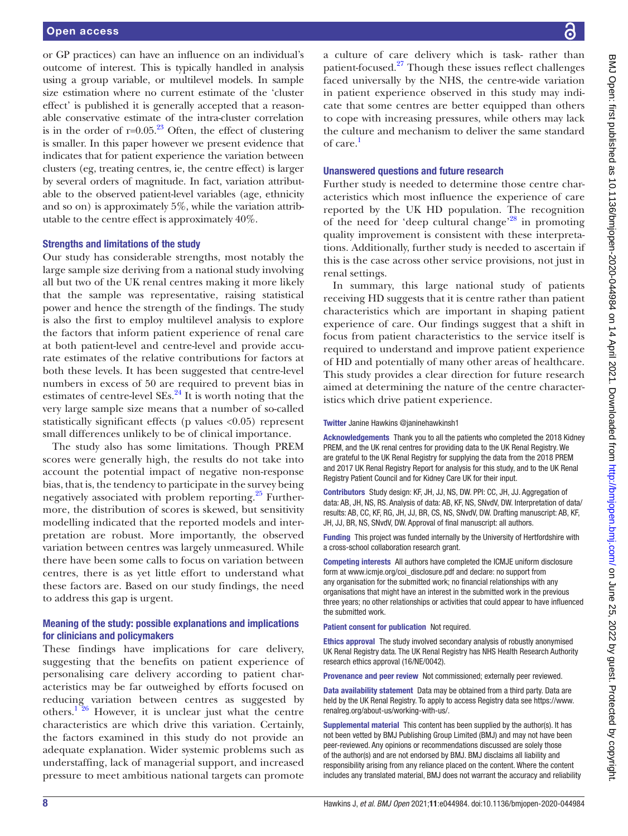or GP practices) can have an influence on an individual's outcome of interest. This is typically handled in analysis using a group variable, or multilevel models. In sample size estimation where no current estimate of the 'cluster effect' is published it is generally accepted that a reasonable conservative estimate of the intra-cluster correlation is in the order of  $r=0.05<sup>23</sup>$  $r=0.05<sup>23</sup>$  $r=0.05<sup>23</sup>$  Often, the effect of clustering is smaller. In this paper however we present evidence that indicates that for patient experience the variation between clusters (eg, treating centres, ie, the centre effect) is larger by several orders of magnitude. In fact, variation attributable to the observed patient-level variables (age, ethnicity and so on) is approximately 5%, while the variation attributable to the centre effect is approximately 40%.

#### Strengths and limitations of the study

Our study has considerable strengths, most notably the large sample size deriving from a national study involving all but two of the UK renal centres making it more likely that the sample was representative, raising statistical power and hence the strength of the findings. The study is also the first to employ multilevel analysis to explore the factors that inform patient experience of renal care at both patient-level and centre-level and provide accurate estimates of the relative contributions for factors at both these levels. It has been suggested that centre-level numbers in excess of 50 are required to prevent bias in estimates of centre-level  $SEs<sup>24</sup>$  $SEs<sup>24</sup>$  $SEs<sup>24</sup>$  It is worth noting that the very large sample size means that a number of so-called statistically significant effects (p values <0.05) represent small differences unlikely to be of clinical importance.

The study also has some limitations. Though PREM scores were generally high, the results do not take into account the potential impact of negative non-response bias, that is, the tendency to participate in the survey being negatively associated with problem reporting.<sup>25</sup> Furthermore, the distribution of scores is skewed, but sensitivity modelling indicated that the reported models and interpretation are robust. More importantly, the observed variation between centres was largely unmeasured. While there have been some calls to focus on variation between centres, there is as yet little effort to understand what these factors are. Based on our study findings, the need to address this gap is urgent.

# Meaning of the study: possible explanations and implications for clinicians and policymakers

These findings have implications for care delivery, suggesting that the benefits on patient experience of personalising care delivery according to patient characteristics may be far outweighed by efforts focused on reducing variation between centres as suggested by others.<sup>[1 26](#page-8-0)</sup> However, it is unclear just what the centre characteristics are which drive this variation. Certainly, the factors examined in this study do not provide an adequate explanation. Wider systemic problems such as understaffing, lack of managerial support, and increased pressure to meet ambitious national targets can promote

a culture of care delivery which is task- rather than patient-focused.<sup>27</sup> Though these issues reflect challenges faced universally by the NHS, the centre-wide variation in patient experience observed in this study may indicate that some centres are better equipped than others to cope with increasing pressures, while others may lack the culture and mechanism to deliver the same standard of care[.1](#page-8-0)

#### Unanswered questions and future research

Further study is needed to determine those centre characteristics which most influence the experience of care reported by the UK HD population. The recognition of the need for 'deep cultural change'<sup>[28](#page-8-22)</sup> in promoting quality improvement is consistent with these interpretations. Additionally, further study is needed to ascertain if this is the case across other service provisions, not just in renal settings.

In summary, this large national study of patients receiving HD suggests that it is centre rather than patient characteristics which are important in shaping patient experience of care. Our findings suggest that a shift in focus from patient characteristics to the service itself is required to understand and improve patient experience of HD and potentially of many other areas of healthcare. This study provides a clear direction for future research aimed at determining the nature of the centre characteristics which drive patient experience.

Twitter Janine Hawkins [@janinehawkinsh1](https://twitter.com/janinehawkinsh1)

Acknowledgements Thank you to all the patients who completed the 2018 Kidney PREM, and the UK renal centres for providing data to the UK Renal Registry. We are grateful to the UK Renal Registry for supplying the data from the 2018 PREM and 2017 UK Renal Registry Report for analysis for this study, and to the UK Renal Registry Patient Council and for Kidney Care UK for their input.

Contributors Study design: KF, JH, JJ, NS, DW. PPI: CC, JH, JJ. Aggregation of data: AB, JH, NS, RS. Analysis of data: AB, KF, NS, SNvdV, DW. Interpretation of data/ results: AB, CC, KF, RG, JH, JJ, BR, CS, NS, SNvdV, DW. Drafting manuscript: AB, KF, JH, JJ, BR, NS, SNvdV, DW. Approval of final manuscript: all authors.

Funding This project was funded internally by the University of Hertfordshire with a cross-school collaboration research grant.

Competing interests All authors have completed the ICMJE uniform disclosure form at [www.icmje.org/coi\\_disclosure.pdf](www.icmje.org/coi_disclosure.pdf) and declare: no support from any organisation for the submitted work; no financial relationships with any organisations that might have an interest in the submitted work in the previous three years; no other relationships or activities that could appear to have influenced the submitted work.

Patient consent for publication Not required.

Ethics approval The study involved secondary analysis of robustly anonymised UK Renal Registry data. The UK Renal Registry has NHS Health Research Authority research ethics approval (16/NE/0042).

Provenance and peer review Not commissioned; externally peer reviewed.

Data availability statement Data may be obtained from a third party. Data are held by the UK Renal Registry. To apply to access Registry data see [https://www.](https://www.renalreg.org/about-us/working-with-us/) [renalreg.org/about-us/working-with-us/.](https://www.renalreg.org/about-us/working-with-us/)

Supplemental material This content has been supplied by the author(s). It has not been vetted by BMJ Publishing Group Limited (BMJ) and may not have been peer-reviewed. Any opinions or recommendations discussed are solely those of the author(s) and are not endorsed by BMJ. BMJ disclaims all liability and responsibility arising from any reliance placed on the content. Where the content includes any translated material, BMJ does not warrant the accuracy and reliability